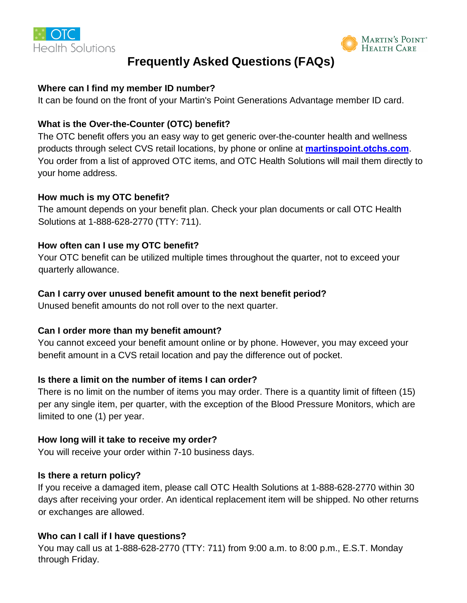



# **Frequently Asked Questions (FAQs)**

## **Where can I find my member ID number?**

It can be found on the front of your Martin's Point Generations Advantage member ID card.

## **What is the Over-the-Counter (OTC) benefit?**

The OTC benefit offers you an easy way to get generic over-the-counter health and wellness products through select CVS retail locations, by phone or online at **martinspoint.otchs.com**. You order from a list of approved OTC items, and OTC Health Solutions will mail them directly to your home address.

## **How much is my OTC benefit?**

The amount depends on your benefit plan. Check your plan documents or call OTC Health Solutions at 1-888-628-2770 (TTY: 711).

## **How often can I use my OTC benefit?**

Your OTC benefit can be utilized multiple times throughout the quarter, not to exceed your quarterly allowance.

## **Can I carry over unused benefit amount to the next benefit period?**

Unused benefit amounts do not roll over to the next quarter.

## **Can I order more than my benefit amount?**

You cannot exceed your benefit amount online or by phone. However, you may exceed your benefit amount in a CVS retail location and pay the difference out of pocket.

## **Is there a limit on the number of items I can order?**

There is no limit on the number of items you may order. There is a quantity limit of fifteen (15) per any single item, per quarter, with the exception of the Blood Pressure Monitors, which are limited to one (1) per year.

## **How long will it take to receive my order?**

You will receive your order within 7-10 business days.

## **Is there a return policy?**

If you receive a damaged item, please call OTC Health Solutions at 1-888-628-2770 within 30 days after receiving your order. An identical replacement item will be shipped. No other returns or exchanges are allowed.

## **Who can I call if I have questions?**

You may call us at 1-888-628-2770 (TTY: 711) from 9:00 a.m. to 8:00 p.m., E.S.T. Monday through Friday.